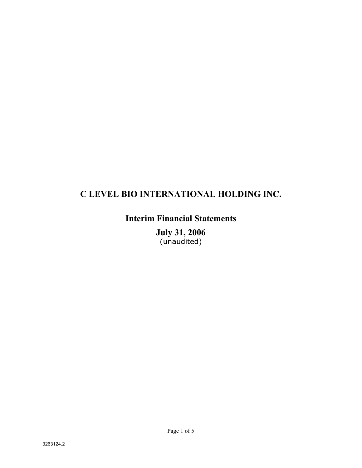# **C LEVEL BIO INTERNATIONAL HOLDING INC.**

# **Interim Financial Statements**

**July 31, 2006**  (unaudited)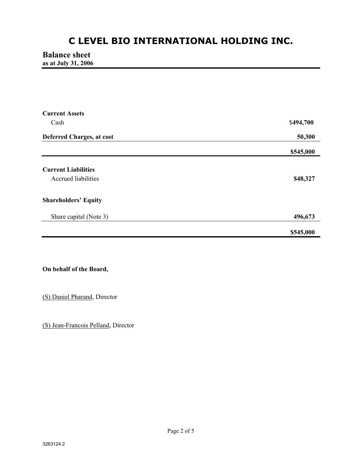# **C LEVEL BIO INTERNATIONAL HOLDING INC.**

## **Balance sheet as at July 31, 2006**

| <b>Current Assets</b>            |           |
|----------------------------------|-----------|
| Cash                             | \$494,700 |
| <b>Deferred Charges, at cost</b> | 50,300    |
|                                  | \$545,000 |
| <b>Current Liabilities</b>       |           |
|                                  |           |
| <b>Accrued liabilities</b>       | \$48,327  |
| <b>Shareholders' Equity</b>      |           |
| Share capital (Note 3)           | 496,673   |
|                                  | \$545,000 |

## **On behalf of the Board,**

(S) Daniel Pharand, Director

(S) Jean-Francois Pelland, Director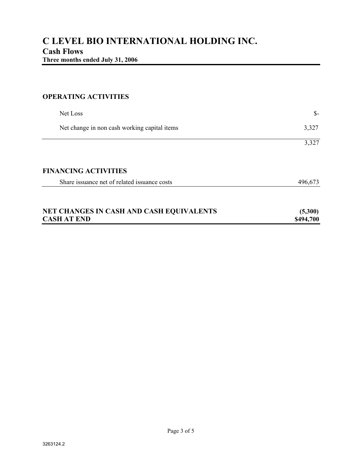## **OPERATING ACTIVITIES**

| Net Loss                                     | $S-$      |
|----------------------------------------------|-----------|
| Net change in non cash working capital items | 3,327     |
|                                              | 3,327     |
| <b>FINANCING ACTIVITIES</b>                  |           |
| Share issuance net of related issuance costs | 496,673   |
| NET CHANGES IN CASH AND CASH EQUIVALENTS     | (5,300)   |
| <b>CASH AT END</b>                           | \$494,700 |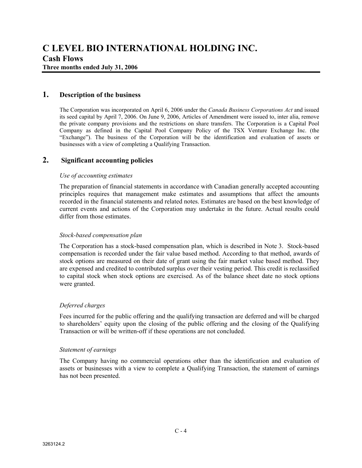**Three months ended July 31, 2006** 

## **1. Description of the business**

The Corporation was incorporated on April 6, 2006 under the *Canada Business Corporations Act* and issued its seed capital by April 7, 2006. On June 9, 2006, Articles of Amendment were issued to, inter alia, remove the private company provisions and the restrictions on share transfers. The Corporation is a Capital Pool Company as defined in the Capital Pool Company Policy of the TSX Venture Exchange Inc. (the "Exchange"). The business of the Corporation will be the identification and evaluation of assets or businesses with a view of completing a Qualifying Transaction.

## **2. Significant accounting policies**

#### *Use of accounting estimates*

The preparation of financial statements in accordance with Canadian generally accepted accounting principles requires that management make estimates and assumptions that affect the amounts recorded in the financial statements and related notes. Estimates are based on the best knowledge of current events and actions of the Corporation may undertake in the future. Actual results could differ from those estimates.

#### *Stock-based compensation plan*

The Corporation has a stock-based compensation plan, which is described in Note 3. Stock-based compensation is recorded under the fair value based method. According to that method, awards of stock options are measured on their date of grant using the fair market value based method. They are expensed and credited to contributed surplus over their vesting period. This credit is reclassified to capital stock when stock options are exercised. As of the balance sheet date no stock options were granted.

#### *Deferred charges*

Fees incurred for the public offering and the qualifying transaction are deferred and will be charged to shareholders' equity upon the closing of the public offering and the closing of the Qualifying Transaction or will be written-off if these operations are not concluded.

#### *Statement of earnings*

The Company having no commercial operations other than the identification and evaluation of assets or businesses with a view to complete a Qualifying Transaction, the statement of earnings has not been presented.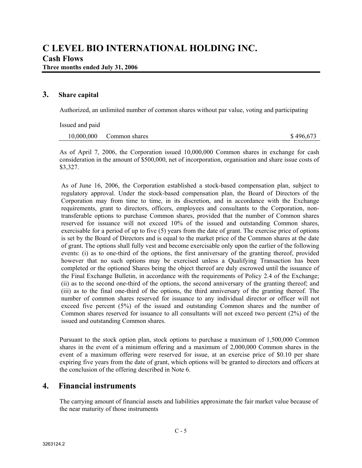### **3. Share capital**

Authorized, an unlimited number of common shares without par value, voting and participating

Issued and paid 10,000,000 Common shares \$ 496,673

As of April 7, 2006, the Corporation issued 10,000,000 Common shares in exchange for cash consideration in the amount of \$500,000, net of incorporation, organisation and share issue costs of \$3,327.

As of June 16, 2006, the Corporation established a stock-based compensation plan, subject to regulatory approval. Under the stock-based compensation plan, the Board of Directors of the Corporation may from time to time, in its discretion, and in accordance with the Exchange requirements, grant to directors, officers, employees and consultants to the Corporation, nontransferable options to purchase Common shares, provided that the number of Common shares reserved for issuance will not exceed 10% of the issued and outstanding Common shares, exercisable for a period of up to five (5) years from the date of grant. The exercise price of options is set by the Board of Directors and is equal to the market price of the Common shares at the date of grant. The options shall fully vest and become exercisable only upon the earlier of the following events: (i) as to one-third of the options, the first anniversary of the granting thereof, provided however that no such options may be exercised unless a Qualifying Transaction has been completed or the optioned Shares being the object thereof are duly escrowed until the issuance of the Final Exchange Bulletin, in accordance with the requirements of Policy 2.4 of the Exchange; (ii) as to the second one-third of the options, the second anniversary of the granting thereof; and (iii) as to the final one-third of the options, the third anniversary of the granting thereof. The number of common shares reserved for issuance to any individual director or officer will not exceed five percent (5%) of the issued and outstanding Common shares and the number of Common shares reserved for issuance to all consultants will not exceed two percent (2%) of the issued and outstanding Common shares.

Pursuant to the stock option plan, stock options to purchase a maximum of 1,500,000 Common shares in the event of a minimum offering and a maximum of 2,000,000 Common shares in the event of a maximum offering were reserved for issue, at an exercise price of \$0.10 per share expiring five years from the date of grant, which options will be granted to directors and officers at the conclusion of the offering described in Note 6.

## **4. Financial instruments**

The carrying amount of financial assets and liabilities approximate the fair market value because of the near maturity of those instruments